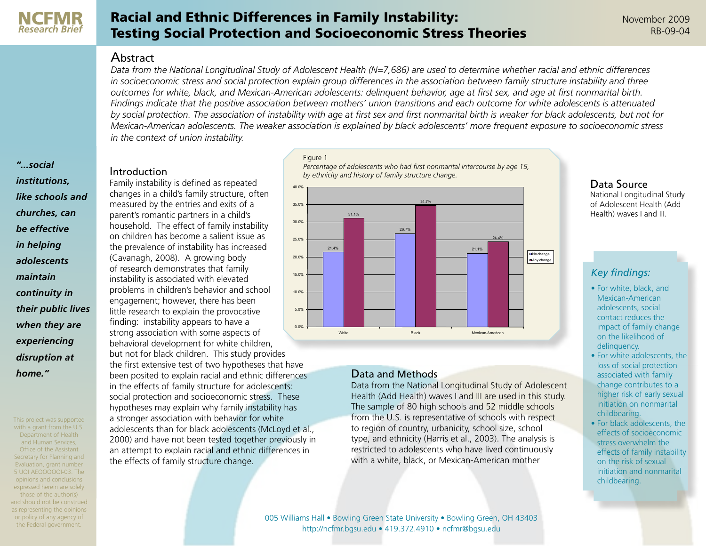

# Racial and Ethnic Differences in Family Instability: Testing Social Protection and Socioeconomic Stress Theories

#### Abstract

*Data from the National Longitudinal Study of Adolescent Health (N=7,686) are used to determine whether racial and ethnic differences*  in socioeconomic stress and social protection explain group differences in the association between family structure instability and three *outcomes for white, black, and Mexican-American adolescents: delinquent behavior, age at first sex, and age at first nonmarital birth. Findings indicate that the positive association between mothers' union transitions and each outcome for white adolescents is attenuated by social protection. The association of instability with age at first sex and first nonmarital birth is weaker for black adolescents, but not for Mexican-American adolescents. The weaker association is explained by black adolescents' more frequent exposure to socioeconomic stress in the context of union instability.*

*"...social institutions, like schools and churches, can be effective in helping adolescents maintain continuity in their public lives when they are experiencing disruption at home."*

This project was supported with a grant from the U.S. Department of Health and Human Services, Office of the Assistant Secretary for Planning and Evaluation, grant number 5 UOI AEOOOOOI-03. The opinions and conclusions expressed herein are solely those of the author(s) and should not be construed as representing the opinions or policy of any agency of the Federal government.

# Introduction

Family instability is defined as repeated changes in a child's family structure, often measured by the entries and exits of a parent's romantic partners in a child's household. The effect of family instability on children has become a salient issue as the prevalence of instability has increased (Cavanagh, 2008). A growing body of research demonstrates that family instability is associated with elevated problems in children's behavior and school engagement; however, there has been little research to explain the provocative finding: instability appears to have a strong association with some aspects of behavioral development for white children, but not for black children. This study provides the first extensive test of two hypotheses that have been posited to explain racial and ethnic differences in the effects of family structure for adolescents: social protection and socioeconomic stress. These hypotheses may explain why family instability has a stronger association with behavior for white adolescents than for black adolescents (McLoyd et al., 2000) and have not been tested together previously in an attempt to explain racial and ethnic differences in the effects of family structure change. 0.0% 5.0% 10.0% 15.0% 20.0% 25.0% 30.0% 35.0% 40.0%

**Percentage of adolescents who had first nonmarital intercourse by age 15,**  *Percentage of adolescents who had first nonmarital intercourse by age 15,*  **by ethnicity and history of family structure change** *by ethnicity and history of family structure change.* Figure 1



# Data and Methods

Data from the National Longitudinal Study of Adolescent Health (Add Health) waves I and III are used in this study. The sample of 80 high schools and 52 middle schools from the U.S. is representative of schools with respect to region of country, urbanicity, school size, school type, and ethnicity (Harris et al., 2003). The analysis is restricted to adolescents who have lived continuously with a white, black, or Mexican-American mother

#### Data Source

National Longitudinal Study of Adolescent Health (Add Health) waves I and III.

# *Key findings:*

- For white, black, and Mexican-American adolescents, social contact reduces the impact of family change on the likelihood of delinquency.
- For white adolescents, the loss of social protection associated with family change contributes to a higher risk of early sexual initiation on nonmarital childbearing.
- For black adolescents, the effects of socioeconomic stress overwhelm the effects of family instability on the risk of sexual initiation and nonmarital childbearing.

[005 Williams Hall • Bowling Green State University • Bowling Green, OH 43403](http://ncfmr.bgsu.edu/index.html) [http://ncfmr.bgsu.edu • 419.372.4910 • ncfmr@bgsu.edu](http://ncfmr.bgsu.edu/index.html)